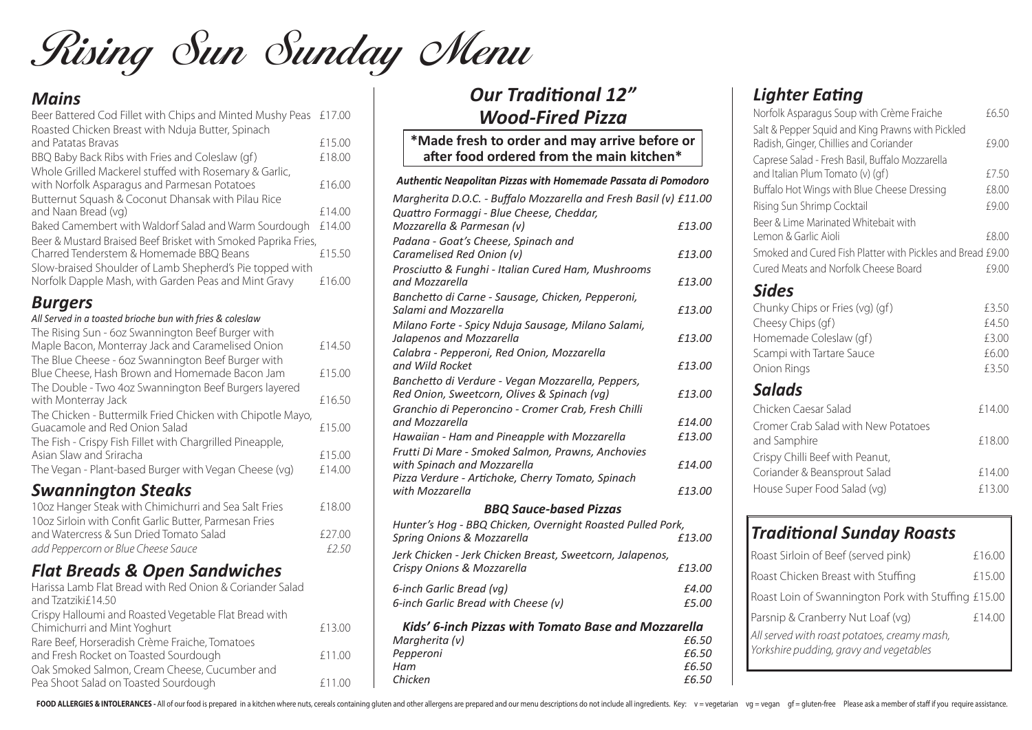# *Lighter Eating*

# *Salads* Crome Crispy

| Norfolk Asparagus Soup with Crème Fraiche                  | £6.50  |
|------------------------------------------------------------|--------|
| Salt & Pepper Squid and King Prawns with Pickled           |        |
| Radish, Ginger, Chillies and Coriander                     | £9.00  |
| Caprese Salad - Fresh Basil, Buffalo Mozzarella            |        |
| and Italian Plum Tomato (v) (qf)                           | £7.50  |
| Buffalo Hot Wings with Blue Cheese Dressing                | £8.00  |
| Rising Sun Shrimp Cocktail                                 | £9.00  |
| Beer & Lime Marinated Whitebait with                       |        |
| Lemon & Garlic Aioli                                       | £8.00  |
| Smoked and Cured Fish Platter with Pickles and Bread £9.00 |        |
| Cured Meats and Norfolk Cheese Board                       | £9.00  |
| Sides                                                      |        |
| Chunky Chips or Fries (vg) (gf)                            | £3.50  |
| Cheesy Chips (qf)                                          | £4.50  |
| Homemade Coleslaw (gf)                                     | £3.00  |
| Scampi with Tartare Sauce                                  | £6.00  |
| Onion Rings                                                | £3.50  |
| Salads                                                     |        |
| Chicken Caesar Salad                                       | £14.00 |
| Cromer Crab Salad with New Potatoes                        |        |
| and Samphire                                               | £18.00 |
| Crispy Chilli Beef with Peanut,                            |        |
| Coriander & Beansprout Salad                               | £14.00 |
| House Super Food Salad (vg)                                | £13.00 |

# *Sides*

Rising Sun Sunday Menu

## *Mains*

## *Authentic Neapolitan Pizzas with Homemade Passata di Pomodoro*

| Beer Battered Cod Fillet with Chips and Minted Mushy Peas<br>Roasted Chicken Breast with Nduja Butter, Spinach | £17.00 |
|----------------------------------------------------------------------------------------------------------------|--------|
| and Patatas Bravas                                                                                             | £15.00 |
| BBQ Baby Back Ribs with Fries and Coleslaw (gf)                                                                | £18.00 |
| Whole Grilled Mackerel stuffed with Rosemary & Garlic,                                                         |        |
| with Norfolk Asparagus and Parmesan Potatoes                                                                   | £16.00 |
| Butternut Squash & Coconut Dhansak with Pilau Rice                                                             |        |
| and Naan Bread (vg)                                                                                            | £14.00 |
| Baked Camembert with Waldorf Salad and Warm Sourdough                                                          | £14.00 |
| Beer & Mustard Braised Beef Brisket with Smoked Paprika Fries,                                                 |        |
| Charred Tenderstem & Homemade BBQ Beans                                                                        | £15.50 |
| Slow-braised Shoulder of Lamb Shepherd's Pie topped with                                                       |        |
| Norfolk Dapple Mash, with Garden Peas and Mint Gravy                                                           | £16.00 |
| <b>Burgers</b>                                                                                                 |        |
| All Served in a toasted brioche bun with fries & coleslaw                                                      |        |
| The Rising Sun - 60z Swannington Beef Burger with                                                              |        |
| Maple Bacon, Monterray Jack and Caramelised Onion                                                              | £14.50 |
| The Blue Cheese - 60z Swannington Beef Burger with                                                             |        |
| Blue Cheese, Hash Brown and Homemade Bacon Jam                                                                 | £15.00 |
| The Double - Two 4oz Swannington Beef Burgers layered                                                          |        |
| with Monterray Jack                                                                                            | £16.50 |
| The Chicken - Buttermilk Fried Chicken with Chipotle Mayo,                                                     |        |
| Guacamole and Red Onion Salad                                                                                  | £15.00 |
| The Fish - Crispy Fish Fillet with Chargrilled Pineapple,                                                      |        |
| Asian Slaw and Sriracha                                                                                        | £15.00 |
| The Vegan - Plant-based Burger with Vegan Cheese (vg)                                                          | £14.00 |
| <b>Swannington Steaks</b>                                                                                      |        |
| 10oz Hanger Steak with Chimichurri and Sea Salt Fries                                                          | £18.00 |
| 10oz Sirloin with Confit Garlic Butter, Parmesan Fries                                                         |        |
| and Watercress & Sun Dried Tomato Salad                                                                        | £27.00 |
| add Peppercorn or Blue Cheese Sauce                                                                            | £2.50  |
| <b>Flat Breads &amp; Open Sandwiches</b>                                                                       |        |
| Harissa Lamb Flat Bread with Red Onion & Coriander Salad                                                       |        |
| and Tzatziki£14.50                                                                                             |        |
| Crispy Halloumi and Roasted Vegetable Flat Bread with                                                          |        |
| Chimichurri and Mint Yoghurt                                                                                   | £13.00 |
| Rare Beef, Horseradish Crème Fraiche, Tomatoes                                                                 |        |
| and Fresh Rocket on Toasted Sourdough                                                                          | £11.00 |
| Oak Smoked Salmon, Cream Cheese, Cucumber and                                                                  |        |
| Pea Shoot Salad on Toasted Sourdough                                                                           | £11.00 |

| Margherita D.O.C. - Buffalo Mozzarella and Fresh Basil (v) £11.00 |        |
|-------------------------------------------------------------------|--------|
| Quattro Formaggi - Blue Cheese, Cheddar,                          |        |
| Mozzarella & Parmesan (v)                                         | £13.00 |
| Padana - Goat's Cheese, Spinach and                               |        |
| Caramelised Red Onion (v)                                         | £13.00 |
| Prosciutto & Funghi - Italian Cured Ham, Mushrooms                |        |
| and Mozzarella                                                    | £13.00 |
| Banchetto di Carne - Sausage, Chicken, Pepperoni,                 |        |
| Salami and Mozzarella                                             | £13.00 |
|                                                                   |        |
| Milano Forte - Spicy Nduja Sausage, Milano Salami,                |        |
| Jalapenos and Mozzarella                                          | £13.00 |
| Calabra - Pepperoni, Red Onion, Mozzarella                        |        |
| and Wild Rocket                                                   | £13.00 |
| Banchetto di Verdure - Vegan Mozzarella, Peppers,                 |        |
| Red Onion, Sweetcorn, Olives & Spinach (vg)                       | £13.00 |
| Granchio di Peperoncino - Cromer Crab, Fresh Chilli               |        |
| and Mozzarella                                                    | £14.00 |
| Hawaiian - Ham and Pineapple with Mozzarella                      | £13.00 |
| Frutti Di Mare - Smoked Salmon, Prawns, Anchovies                 |        |
| with Spinach and Mozzarella                                       | £14.00 |
| Pizza Verdure - Artichoke, Cherry Tomato, Spinach                 |        |
| with Mozzarella                                                   | £13.00 |
| <b>BBQ Sauce-based Pizzas</b>                                     |        |
|                                                                   |        |
| Hunter's Hog - BBQ Chicken, Overnight Roasted Pulled Pork,        |        |
| Spring Onions & Mozzarella                                        | £13.00 |
| Jerk Chicken - Jerk Chicken Breast, Sweetcorn, Jalapenos,         |        |
| Crispy Onions & Mozzarella                                        | £13.00 |
| 6-inch Garlic Bread (vg)                                          | £4.00  |
| 6-inch Garlic Bread with Cheese (v)                               | £5.00  |
|                                                                   |        |

|                | Kids' 6-inch Pizzas with Tomato Base and Mozzarella |
|----------------|-----------------------------------------------------|
| Margherita (v) | £6.50                                               |
| Pepperoni      | £6.50                                               |
| Ham            | £6.50                                               |
| Chicken        | £6.50                                               |

Capres and Ita Rising Beer &

# *Traditional Sunday Roasts*

| Roast Sirloin of Beef (served pink)                                                     | £16.00 |
|-----------------------------------------------------------------------------------------|--------|
| Roast Chicken Breast with Stuffing                                                      | £15.00 |
| Roast Loin of Swannington Pork with Stuffing £15.00                                     |        |
| Parsnip & Cranberry Nut Loaf (vg)                                                       | £14.00 |
| All served with roast potatoes, creamy mash,<br>Yorkshire pudding, gravy and vegetables |        |

*All served with roast potatoes, creamy mash, Yorkshire pudding, gravy and vegetables*

# *Our Traditional 12" Wood-Fired Pizza*

## **\*Made fresh to order and may arrive before or after food ordered from the main kitchen\***